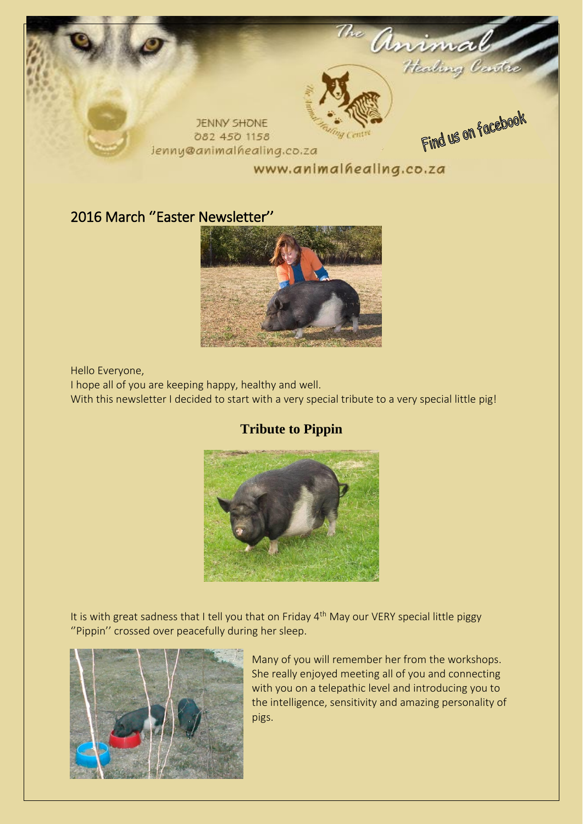

## 2016 March ''Easter Newsletter''



Hello Everyone,

I hope all of you are keeping happy, healthy and well.

With this newsletter I decided to start with a very special tribute to a very special little pig!

## **Tribute to Pippin**



It is with great sadness that I tell you that on Friday  $4<sup>th</sup>$  May our VERY special little piggy ''Pippin'' crossed over peacefully during her sleep.



Many of you will remember her from the workshops. She really enjoyed meeting all of you and connecting with you on a telepathic level and introducing you to the intelligence, sensitivity and amazing personality of pigs.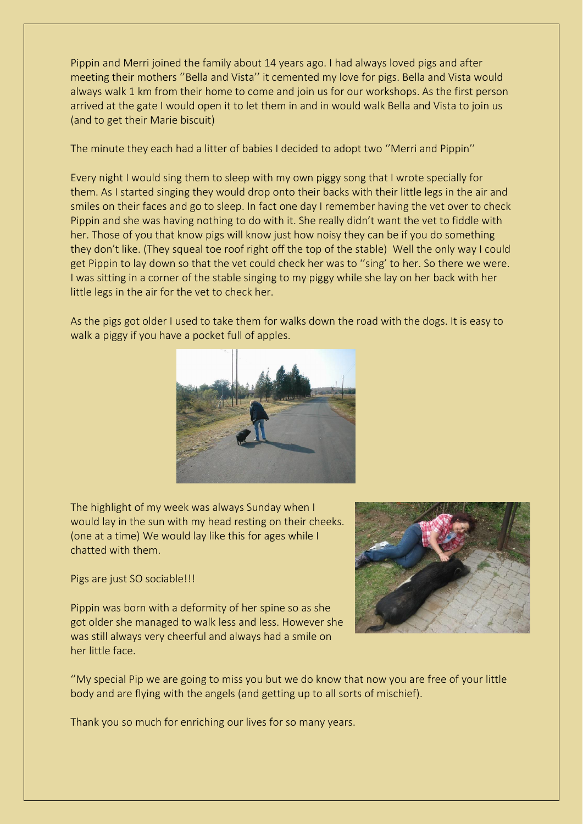Pippin and Merri joined the family about 14 years ago. I had always loved pigs and after meeting their mothers ''Bella and Vista'' it cemented my love for pigs. Bella and Vista would always walk 1 km from their home to come and join us for our workshops. As the first person arrived at the gate I would open it to let them in and in would walk Bella and Vista to join us (and to get their Marie biscuit)

The minute they each had a litter of babies I decided to adopt two ''Merri and Pippin''

Every night I would sing them to sleep with my own piggy song that I wrote specially for them. As I started singing they would drop onto their backs with their little legs in the air and smiles on their faces and go to sleep. In fact one day I remember having the vet over to check Pippin and she was having nothing to do with it. She really didn't want the vet to fiddle with her. Those of you that know pigs will know just how noisy they can be if you do something they don't like. (They squeal toe roof right off the top of the stable) Well the only way I could get Pippin to lay down so that the vet could check her was to ''sing' to her. So there we were. I was sitting in a corner of the stable singing to my piggy while she lay on her back with her little legs in the air for the vet to check her.

As the pigs got older I used to take them for walks down the road with the dogs. It is easy to walk a piggy if you have a pocket full of apples.



The highlight of my week was always Sunday when I would lay in the sun with my head resting on their cheeks. (one at a time) We would lay like this for ages while I chatted with them.

Pigs are just SO sociable!!!

Pippin was born with a deformity of her spine so as she got older she managed to walk less and less. However she was still always very cheerful and always had a smile on her little face.

''My special Pip we are going to miss you but we do know that now you are free of your little body and are flying with the angels (and getting up to all sorts of mischief).

Thank you so much for enriching our lives for so many years.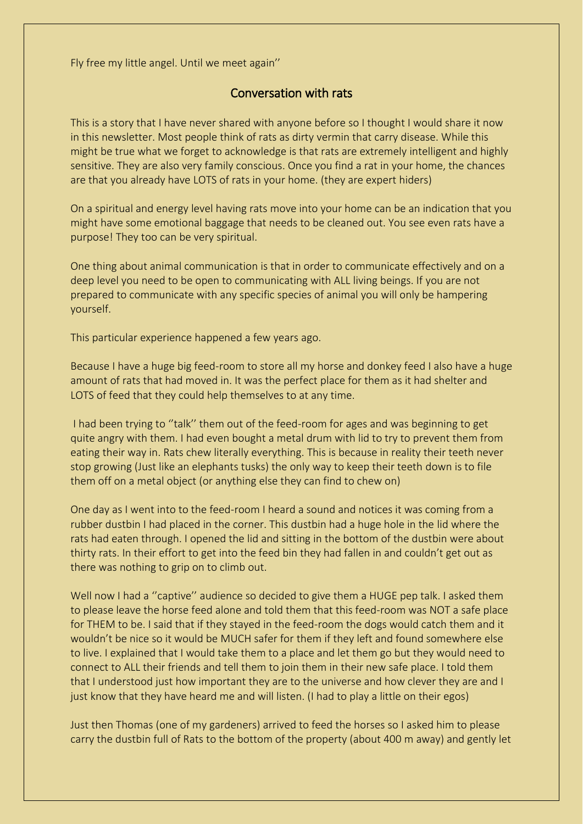Fly free my little angel. Until we meet again''

## Conversation with rats

This is a story that I have never shared with anyone before so I thought I would share it now in this newsletter. Most people think of rats as dirty vermin that carry disease. While this might be true what we forget to acknowledge is that rats are extremely intelligent and highly sensitive. They are also very family conscious. Once you find a rat in your home, the chances are that you already have LOTS of rats in your home. (they are expert hiders)

On a spiritual and energy level having rats move into your home can be an indication that you might have some emotional baggage that needs to be cleaned out. You see even rats have a purpose! They too can be very spiritual.

One thing about animal communication is that in order to communicate effectively and on a deep level you need to be open to communicating with ALL living beings. If you are not prepared to communicate with any specific species of animal you will only be hampering yourself.

This particular experience happened a few years ago.

Because I have a huge big feed-room to store all my horse and donkey feed I also have a huge amount of rats that had moved in. It was the perfect place for them as it had shelter and LOTS of feed that they could help themselves to at any time.

I had been trying to ''talk'' them out of the feed-room for ages and was beginning to get quite angry with them. I had even bought a metal drum with lid to try to prevent them from eating their way in. Rats chew literally everything. This is because in reality their teeth never stop growing (Just like an elephants tusks) the only way to keep their teeth down is to file them off on a metal object (or anything else they can find to chew on)

One day as I went into to the feed-room I heard a sound and notices it was coming from a rubber dustbin I had placed in the corner. This dustbin had a huge hole in the lid where the rats had eaten through. I opened the lid and sitting in the bottom of the dustbin were about thirty rats. In their effort to get into the feed bin they had fallen in and couldn't get out as there was nothing to grip on to climb out.

Well now I had a "captive" audience so decided to give them a HUGE pep talk. I asked them to please leave the horse feed alone and told them that this feed-room was NOT a safe place for THEM to be. I said that if they stayed in the feed-room the dogs would catch them and it wouldn't be nice so it would be MUCH safer for them if they left and found somewhere else to live. I explained that I would take them to a place and let them go but they would need to connect to ALL their friends and tell them to join them in their new safe place. I told them that I understood just how important they are to the universe and how clever they are and I just know that they have heard me and will listen. (I had to play a little on their egos)

Just then Thomas (one of my gardeners) arrived to feed the horses so I asked him to please carry the dustbin full of Rats to the bottom of the property (about 400 m away) and gently let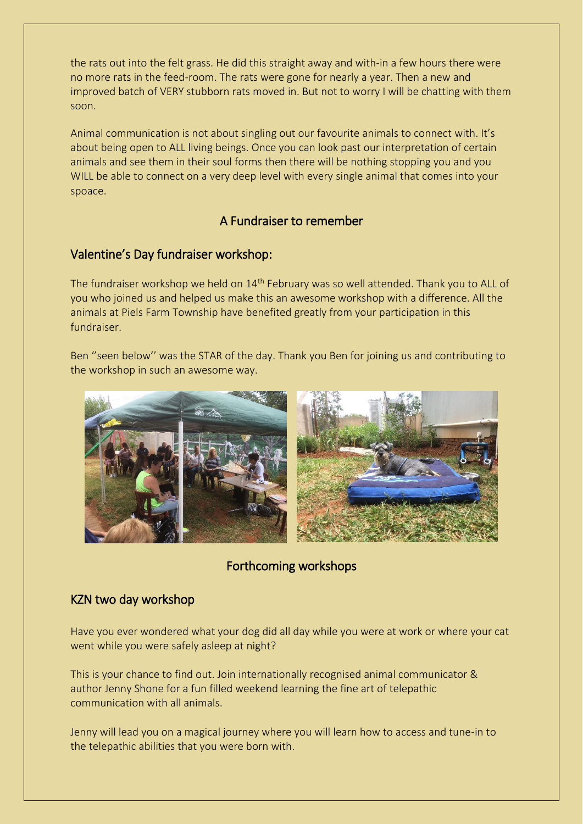the rats out into the felt grass. He did this straight away and with-in a few hours there were no more rats in the feed-room. The rats were gone for nearly a year. Then a new and improved batch of VERY stubborn rats moved in. But not to worry I will be chatting with them soon.

Animal communication is not about singling out our favourite animals to connect with. It's about being open to ALL living beings. Once you can look past our interpretation of certain animals and see them in their soul forms then there will be nothing stopping you and you WILL be able to connect on a very deep level with every single animal that comes into your spoace.

# A Fundraiser to remember

## Valentine's Day fundraiser workshop:

The fundraiser workshop we held on 14<sup>th</sup> February was so well attended. Thank you to ALL of you who joined us and helped us make this an awesome workshop with a difference. All the animals at Piels Farm Township have benefited greatly from your participation in this fundraiser.

Ben ''seen below'' was the STAR of the day. Thank you Ben for joining us and contributing to the workshop in such an awesome way.



# Forthcoming workshops

# KZN two day workshop

Have you ever wondered what your dog did all day while you were at work or where your cat went while you were safely asleep at night?

This is your chance to find out. Join internationally recognised animal communicator & author Jenny Shone for a fun filled weekend learning the fine art of telepathic communication with all animals.

Jenny will lead you on a magical journey where you will learn how to access and tune-in to the telepathic abilities that you were born with.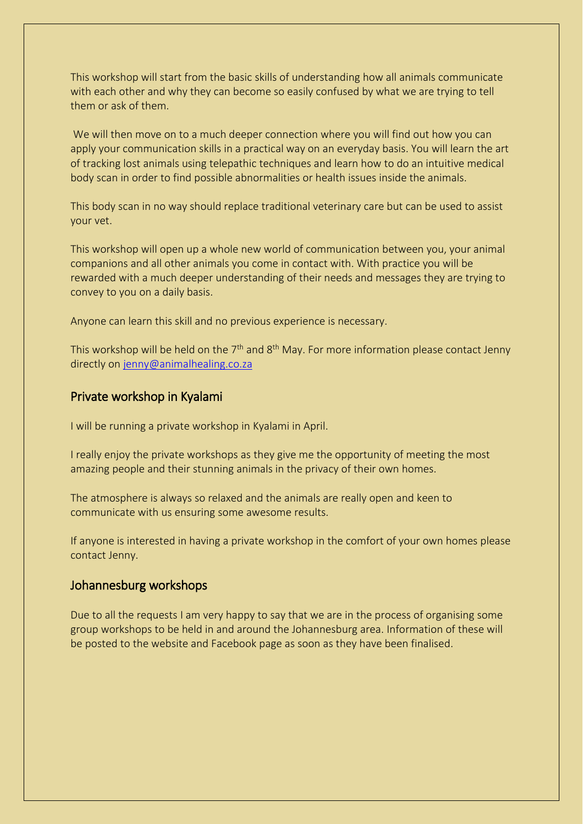This workshop will start from the basic skills of understanding how all animals communicate with each other and why they can become so easily confused by what we are trying to tell them or ask of them.

We will then move on to a much deeper connection where you will find out how you can apply your communication skills in a practical way on an everyday basis. You will learn the art of tracking lost animals using telepathic techniques and learn how to do an intuitive medical body scan in order to find possible abnormalities or health issues inside the animals.

This body scan in no way should replace traditional veterinary care but can be used to assist your vet.

This workshop will open up a whole new world of communication between you, your animal companions and all other animals you come in contact with. With practice you will be rewarded with a much deeper understanding of their needs and messages they are trying to convey to you on a daily basis.

Anyone can learn this skill and no previous experience is necessary.

This workshop will be held on the  $7<sup>th</sup>$  and  $8<sup>th</sup>$  May. For more information please contact Jenny directly on [jenny@animalhealing.co.za](mailto:jenny@animalhealing.co.za)

#### Private workshop in Kyalami

I will be running a private workshop in Kyalami in April.

I really enjoy the private workshops as they give me the opportunity of meeting the most amazing people and their stunning animals in the privacy of their own homes.

The atmosphere is always so relaxed and the animals are really open and keen to communicate with us ensuring some awesome results.

If anyone is interested in having a private workshop in the comfort of your own homes please contact Jenny.

### Johannesburg workshops

Due to all the requests I am very happy to say that we are in the process of organising some group workshops to be held in and around the Johannesburg area. Information of these will be posted to the website and Facebook page as soon as they have been finalised.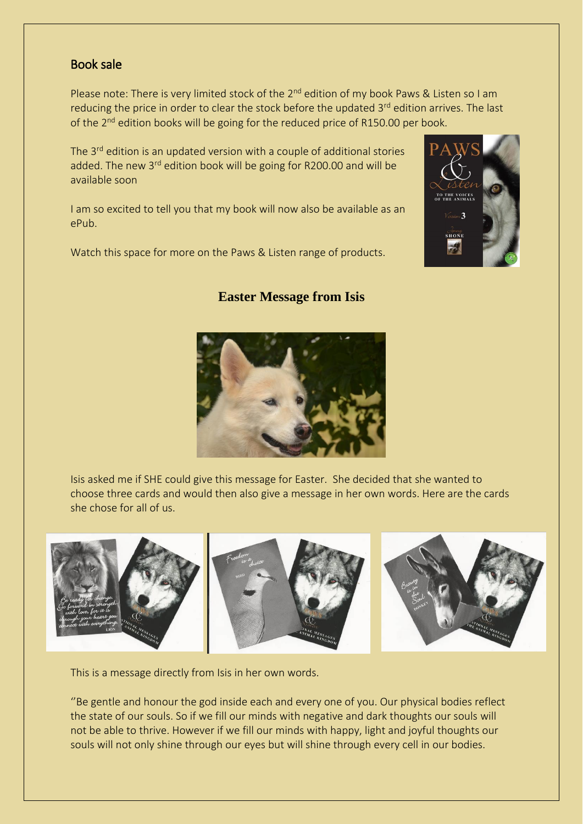#### Book sale

Please note: There is very limited stock of the  $2^{nd}$  edition of my book Paws & Listen so I am reducing the price in order to clear the stock before the updated 3<sup>rd</sup> edition arrives. The last of the  $2^{nd}$  edition books will be going for the reduced price of R150.00 per book.

The 3<sup>rd</sup> edition is an updated version with a couple of additional stories added. The new 3<sup>rd</sup> edition book will be going for R200.00 and will be available soon

I am so excited to tell you that my book will now also be available as an ePub.

Watch this space for more on the Paws & Listen range of products.



## **Easter Message from Isis**



Isis asked me if SHE could give this message for Easter. She decided that she wanted to choose three cards and would then also give a message in her own words. Here are the cards she chose for all of us.



This is a message directly from Isis in her own words.

''Be gentle and honour the god inside each and every one of you. Our physical bodies reflect the state of our souls. So if we fill our minds with negative and dark thoughts our souls will not be able to thrive. However if we fill our minds with happy, light and joyful thoughts our souls will not only shine through our eyes but will shine through every cell in our bodies.